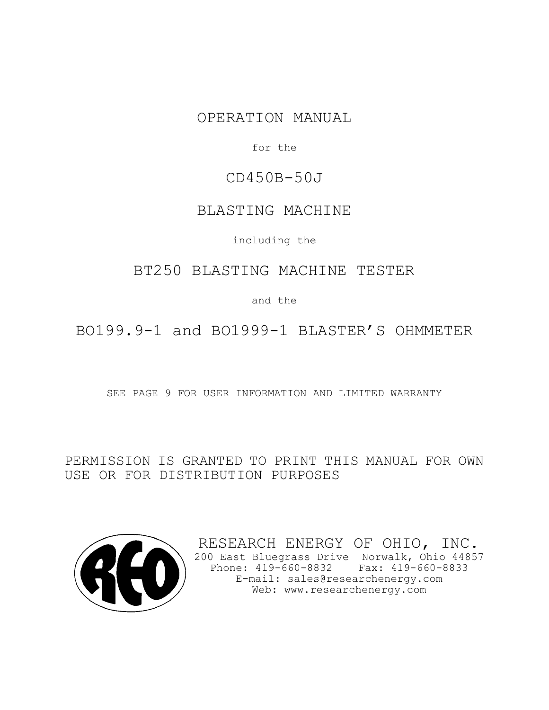OPERATION MANUAL

for the

# CD450B-50J

# BLASTING MACHINE

# including the

# BT250 BLASTING MACHINE TESTER

and the

BO199.9-1 and BO1999-1 BLASTER'S OHMMETER

SEE PAGE 9 FOR USER INFORMATION AND LIMITED WARRANTY

PERMISSION IS GRANTED TO PRINT THIS MANUAL FOR OWN USE OR FOR DISTRIBUTION PURPOSES



RESEARCH ENERGY OF OHIO, INC. 200 East Bluegrass Drive Norwalk, Ohio 44857 Phone: 419-660-8832 Fax: 419-660-8833 E-mail: sales@researchenergy.com Web: www.researchenergy.com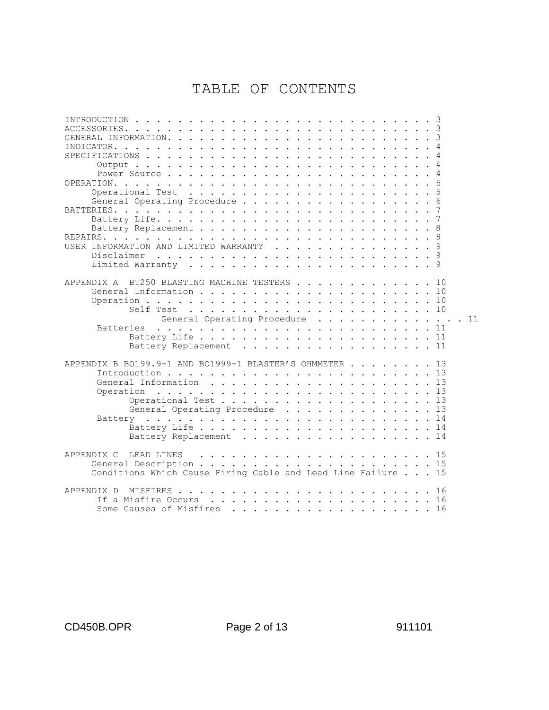# TABLE OF CONTENTS

| ACCESSORIES.<br>$\sim$ $\sim$ $\sim$ $\sim$ $\sim$ $\sim$<br>$\sim$ $\sim$ $\sim$ $\sim$ $\sim$ $\sim$ $\sim$<br>INDICATOR.<br>$\mathbf{r}$<br>$\mathbf{r}$ . The set of the set of $\mathbf{r}$<br>$\sim$<br>SPECIFICATIONS<br>$\mathbf{r}$ , $\mathbf{r}$ , $\mathbf{r}$ , $\mathbf{r}$ , $\mathbf{r}$ , $\mathbf{r}$ , $\mathbf{r}$<br>4<br>4<br>OPERATION.<br>5<br>Operational Test<br>.<br>6<br>8<br>Battery Replacement<br>8<br>REPAIRS.<br>the contract of the contract of the contract of the contract of the contract of the contract of the contract of<br>USER INFORMATION AND LIMITED WARRANTY<br>$\mathbf{r}$ , $\mathbf{r}$ , $\mathbf{r}$ , $\mathbf{r}$ , $\mathbf{r}$ , $\mathbf{r}$ , $\mathbf{r}$<br>9<br>BT250 BLASTING MACHINE TESTERS<br>APPENDIX A<br>. 10<br>Self Test<br>General Operating Procedure 11<br><b>Batteries</b><br>. 11<br>Battery Replacement<br>APPENDIX B BO199.9-1 AND BO1999-1 BLASTER'S OHMMETER<br>. 13<br>Operation<br>Operational Test 13<br>General Operating Procedure 13<br>Battery<br>. 14<br>Battery Replacement<br>APPENDIX C<br>LEAD LINES<br>Conditions Which Cause Firing Cable and Lead Line Failure 15<br>APPENDIX D<br>MISFIRES<br>If a Misfire Occurs<br>16<br>$\mathbf{1}$ , $\mathbf{1}$ , $\mathbf{1}$ , $\mathbf{1}$ , $\mathbf{1}$ , $\mathbf{1}$ , $\mathbf{1}$ , $\mathbf{1}$ , $\mathbf{1}$ , $\mathbf{1}$ , $\mathbf{1}$ , $\mathbf{1}$ , $\mathbf{1}$ , $\mathbf{1}$ , $\mathbf{1}$ , $\mathbf{1}$ , $\mathbf{1}$ , $\mathbf{1}$ , $\mathbf{1}$ , $\mathbf{1}$ , | INTRODUCTION<br>3               |
|---------------------------------------------------------------------------------------------------------------------------------------------------------------------------------------------------------------------------------------------------------------------------------------------------------------------------------------------------------------------------------------------------------------------------------------------------------------------------------------------------------------------------------------------------------------------------------------------------------------------------------------------------------------------------------------------------------------------------------------------------------------------------------------------------------------------------------------------------------------------------------------------------------------------------------------------------------------------------------------------------------------------------------------------------------------------------------------------------------------------------------------------------------------------------------------------------------------------------------------------------------------------------------------------------------------------------------------------------------------------------------------------------------------------------------------------------------------------------------------------------------------------------------------|---------------------------------|
|                                                                                                                                                                                                                                                                                                                                                                                                                                                                                                                                                                                                                                                                                                                                                                                                                                                                                                                                                                                                                                                                                                                                                                                                                                                                                                                                                                                                                                                                                                                                       |                                 |
|                                                                                                                                                                                                                                                                                                                                                                                                                                                                                                                                                                                                                                                                                                                                                                                                                                                                                                                                                                                                                                                                                                                                                                                                                                                                                                                                                                                                                                                                                                                                       |                                 |
|                                                                                                                                                                                                                                                                                                                                                                                                                                                                                                                                                                                                                                                                                                                                                                                                                                                                                                                                                                                                                                                                                                                                                                                                                                                                                                                                                                                                                                                                                                                                       |                                 |
|                                                                                                                                                                                                                                                                                                                                                                                                                                                                                                                                                                                                                                                                                                                                                                                                                                                                                                                                                                                                                                                                                                                                                                                                                                                                                                                                                                                                                                                                                                                                       |                                 |
|                                                                                                                                                                                                                                                                                                                                                                                                                                                                                                                                                                                                                                                                                                                                                                                                                                                                                                                                                                                                                                                                                                                                                                                                                                                                                                                                                                                                                                                                                                                                       |                                 |
|                                                                                                                                                                                                                                                                                                                                                                                                                                                                                                                                                                                                                                                                                                                                                                                                                                                                                                                                                                                                                                                                                                                                                                                                                                                                                                                                                                                                                                                                                                                                       |                                 |
|                                                                                                                                                                                                                                                                                                                                                                                                                                                                                                                                                                                                                                                                                                                                                                                                                                                                                                                                                                                                                                                                                                                                                                                                                                                                                                                                                                                                                                                                                                                                       |                                 |
|                                                                                                                                                                                                                                                                                                                                                                                                                                                                                                                                                                                                                                                                                                                                                                                                                                                                                                                                                                                                                                                                                                                                                                                                                                                                                                                                                                                                                                                                                                                                       |                                 |
|                                                                                                                                                                                                                                                                                                                                                                                                                                                                                                                                                                                                                                                                                                                                                                                                                                                                                                                                                                                                                                                                                                                                                                                                                                                                                                                                                                                                                                                                                                                                       |                                 |
|                                                                                                                                                                                                                                                                                                                                                                                                                                                                                                                                                                                                                                                                                                                                                                                                                                                                                                                                                                                                                                                                                                                                                                                                                                                                                                                                                                                                                                                                                                                                       |                                 |
|                                                                                                                                                                                                                                                                                                                                                                                                                                                                                                                                                                                                                                                                                                                                                                                                                                                                                                                                                                                                                                                                                                                                                                                                                                                                                                                                                                                                                                                                                                                                       |                                 |
|                                                                                                                                                                                                                                                                                                                                                                                                                                                                                                                                                                                                                                                                                                                                                                                                                                                                                                                                                                                                                                                                                                                                                                                                                                                                                                                                                                                                                                                                                                                                       |                                 |
|                                                                                                                                                                                                                                                                                                                                                                                                                                                                                                                                                                                                                                                                                                                                                                                                                                                                                                                                                                                                                                                                                                                                                                                                                                                                                                                                                                                                                                                                                                                                       |                                 |
|                                                                                                                                                                                                                                                                                                                                                                                                                                                                                                                                                                                                                                                                                                                                                                                                                                                                                                                                                                                                                                                                                                                                                                                                                                                                                                                                                                                                                                                                                                                                       |                                 |
|                                                                                                                                                                                                                                                                                                                                                                                                                                                                                                                                                                                                                                                                                                                                                                                                                                                                                                                                                                                                                                                                                                                                                                                                                                                                                                                                                                                                                                                                                                                                       |                                 |
|                                                                                                                                                                                                                                                                                                                                                                                                                                                                                                                                                                                                                                                                                                                                                                                                                                                                                                                                                                                                                                                                                                                                                                                                                                                                                                                                                                                                                                                                                                                                       |                                 |
|                                                                                                                                                                                                                                                                                                                                                                                                                                                                                                                                                                                                                                                                                                                                                                                                                                                                                                                                                                                                                                                                                                                                                                                                                                                                                                                                                                                                                                                                                                                                       |                                 |
|                                                                                                                                                                                                                                                                                                                                                                                                                                                                                                                                                                                                                                                                                                                                                                                                                                                                                                                                                                                                                                                                                                                                                                                                                                                                                                                                                                                                                                                                                                                                       |                                 |
|                                                                                                                                                                                                                                                                                                                                                                                                                                                                                                                                                                                                                                                                                                                                                                                                                                                                                                                                                                                                                                                                                                                                                                                                                                                                                                                                                                                                                                                                                                                                       |                                 |
|                                                                                                                                                                                                                                                                                                                                                                                                                                                                                                                                                                                                                                                                                                                                                                                                                                                                                                                                                                                                                                                                                                                                                                                                                                                                                                                                                                                                                                                                                                                                       |                                 |
|                                                                                                                                                                                                                                                                                                                                                                                                                                                                                                                                                                                                                                                                                                                                                                                                                                                                                                                                                                                                                                                                                                                                                                                                                                                                                                                                                                                                                                                                                                                                       |                                 |
|                                                                                                                                                                                                                                                                                                                                                                                                                                                                                                                                                                                                                                                                                                                                                                                                                                                                                                                                                                                                                                                                                                                                                                                                                                                                                                                                                                                                                                                                                                                                       |                                 |
|                                                                                                                                                                                                                                                                                                                                                                                                                                                                                                                                                                                                                                                                                                                                                                                                                                                                                                                                                                                                                                                                                                                                                                                                                                                                                                                                                                                                                                                                                                                                       |                                 |
|                                                                                                                                                                                                                                                                                                                                                                                                                                                                                                                                                                                                                                                                                                                                                                                                                                                                                                                                                                                                                                                                                                                                                                                                                                                                                                                                                                                                                                                                                                                                       |                                 |
|                                                                                                                                                                                                                                                                                                                                                                                                                                                                                                                                                                                                                                                                                                                                                                                                                                                                                                                                                                                                                                                                                                                                                                                                                                                                                                                                                                                                                                                                                                                                       |                                 |
|                                                                                                                                                                                                                                                                                                                                                                                                                                                                                                                                                                                                                                                                                                                                                                                                                                                                                                                                                                                                                                                                                                                                                                                                                                                                                                                                                                                                                                                                                                                                       |                                 |
|                                                                                                                                                                                                                                                                                                                                                                                                                                                                                                                                                                                                                                                                                                                                                                                                                                                                                                                                                                                                                                                                                                                                                                                                                                                                                                                                                                                                                                                                                                                                       |                                 |
|                                                                                                                                                                                                                                                                                                                                                                                                                                                                                                                                                                                                                                                                                                                                                                                                                                                                                                                                                                                                                                                                                                                                                                                                                                                                                                                                                                                                                                                                                                                                       |                                 |
|                                                                                                                                                                                                                                                                                                                                                                                                                                                                                                                                                                                                                                                                                                                                                                                                                                                                                                                                                                                                                                                                                                                                                                                                                                                                                                                                                                                                                                                                                                                                       |                                 |
|                                                                                                                                                                                                                                                                                                                                                                                                                                                                                                                                                                                                                                                                                                                                                                                                                                                                                                                                                                                                                                                                                                                                                                                                                                                                                                                                                                                                                                                                                                                                       |                                 |
|                                                                                                                                                                                                                                                                                                                                                                                                                                                                                                                                                                                                                                                                                                                                                                                                                                                                                                                                                                                                                                                                                                                                                                                                                                                                                                                                                                                                                                                                                                                                       |                                 |
|                                                                                                                                                                                                                                                                                                                                                                                                                                                                                                                                                                                                                                                                                                                                                                                                                                                                                                                                                                                                                                                                                                                                                                                                                                                                                                                                                                                                                                                                                                                                       |                                 |
|                                                                                                                                                                                                                                                                                                                                                                                                                                                                                                                                                                                                                                                                                                                                                                                                                                                                                                                                                                                                                                                                                                                                                                                                                                                                                                                                                                                                                                                                                                                                       |                                 |
|                                                                                                                                                                                                                                                                                                                                                                                                                                                                                                                                                                                                                                                                                                                                                                                                                                                                                                                                                                                                                                                                                                                                                                                                                                                                                                                                                                                                                                                                                                                                       |                                 |
|                                                                                                                                                                                                                                                                                                                                                                                                                                                                                                                                                                                                                                                                                                                                                                                                                                                                                                                                                                                                                                                                                                                                                                                                                                                                                                                                                                                                                                                                                                                                       |                                 |
|                                                                                                                                                                                                                                                                                                                                                                                                                                                                                                                                                                                                                                                                                                                                                                                                                                                                                                                                                                                                                                                                                                                                                                                                                                                                                                                                                                                                                                                                                                                                       |                                 |
|                                                                                                                                                                                                                                                                                                                                                                                                                                                                                                                                                                                                                                                                                                                                                                                                                                                                                                                                                                                                                                                                                                                                                                                                                                                                                                                                                                                                                                                                                                                                       |                                 |
|                                                                                                                                                                                                                                                                                                                                                                                                                                                                                                                                                                                                                                                                                                                                                                                                                                                                                                                                                                                                                                                                                                                                                                                                                                                                                                                                                                                                                                                                                                                                       |                                 |
|                                                                                                                                                                                                                                                                                                                                                                                                                                                                                                                                                                                                                                                                                                                                                                                                                                                                                                                                                                                                                                                                                                                                                                                                                                                                                                                                                                                                                                                                                                                                       |                                 |
|                                                                                                                                                                                                                                                                                                                                                                                                                                                                                                                                                                                                                                                                                                                                                                                                                                                                                                                                                                                                                                                                                                                                                                                                                                                                                                                                                                                                                                                                                                                                       |                                 |
|                                                                                                                                                                                                                                                                                                                                                                                                                                                                                                                                                                                                                                                                                                                                                                                                                                                                                                                                                                                                                                                                                                                                                                                                                                                                                                                                                                                                                                                                                                                                       |                                 |
|                                                                                                                                                                                                                                                                                                                                                                                                                                                                                                                                                                                                                                                                                                                                                                                                                                                                                                                                                                                                                                                                                                                                                                                                                                                                                                                                                                                                                                                                                                                                       |                                 |
|                                                                                                                                                                                                                                                                                                                                                                                                                                                                                                                                                                                                                                                                                                                                                                                                                                                                                                                                                                                                                                                                                                                                                                                                                                                                                                                                                                                                                                                                                                                                       |                                 |
|                                                                                                                                                                                                                                                                                                                                                                                                                                                                                                                                                                                                                                                                                                                                                                                                                                                                                                                                                                                                                                                                                                                                                                                                                                                                                                                                                                                                                                                                                                                                       |                                 |
|                                                                                                                                                                                                                                                                                                                                                                                                                                                                                                                                                                                                                                                                                                                                                                                                                                                                                                                                                                                                                                                                                                                                                                                                                                                                                                                                                                                                                                                                                                                                       | Some Causes of Misfires<br>. 16 |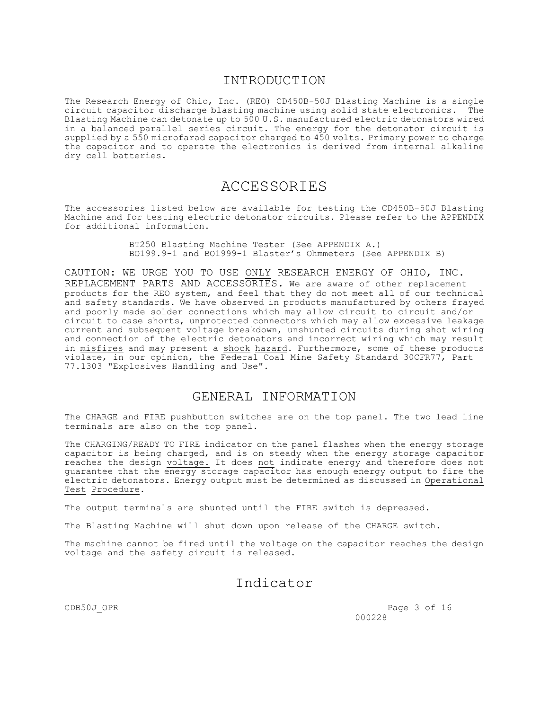### INTRODUCTION

The Research Energy of Ohio, Inc. (REO) CD450B-50J Blasting Machine is a single circuit capacitor discharge blasting machine using solid state electronics. The Blasting Machine can detonate up to 500 U.S. manufactured electric detonators wired in a balanced parallel series circuit. The energy for the detonator circuit is supplied by a 550 microfarad capacitor charged to 450 volts. Primary power to charge the capacitor and to operate the electronics is derived from internal alkaline dry cell batteries.

# ACCESSORIES

The accessories listed below are available for testing the CD450B-50J Blasting Machine and for testing electric detonator circuits. Please refer to the APPENDIX for additional information.

> BT250 Blasting Machine Tester (See APPENDIX A.) BO199.9-1 and BO1999-1 Blaster's Ohmmeters (See APPENDIX B)

CAUTION: WE URGE YOU TO USE ONLY RESEARCH ENERGY OF OHIO, INC. REPLACEMENT PARTS AND ACCESSORIES. We are aware of other replacement products for the REO system, and feel that they do not meet all of our technical and safety standards. We have observed in products manufactured by others frayed and poorly made solder connections which may allow circuit to circuit and/or circuit to case shorts, unprotected connectors which may allow excessive leakage current and subsequent voltage breakdown, unshunted circuits during shot wiring and connection of the electric detonators and incorrect wiring which may result in misfires and may present a shock hazard. Furthermore, some of these products violate, in our opinion, the Federal Coal Mine Safety Standard 30CFR77, Part 77.1303 "Explosives Handling and Use".

## GENERAL INFORMATION

The CHARGE and FIRE pushbutton switches are on the top panel. The two lead line terminals are also on the top panel.

The CHARGING/READY TO FIRE indicator on the panel flashes when the energy storage capacitor is being charged, and is on steady when the energy storage capacitor reaches the design voltage. It does not indicate energy and therefore does not guarantee that the energy storage capacitor has enough energy output to fire the electric detonators. Energy output must be determined as discussed in Operational Test Procedure.

The output terminals are shunted until the FIRE switch is depressed.

The Blasting Machine will shut down upon release of the CHARGE switch.

The machine cannot be fired until the voltage on the capacitor reaches the design voltage and the safety circuit is released.

# Indicator

CDB50J\_OPR Page 3 of 16 000228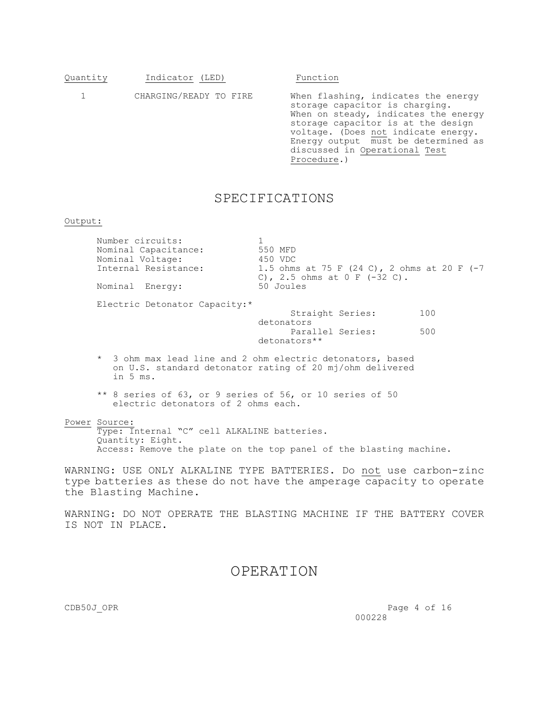| Quantity<br>Indicator (LED) |  |
|-----------------------------|--|
|-----------------------------|--|

Function

 1 CHARGING/READY TO FIRE When flashing, indicates the energy storage capacitor is charging. When on steady, indicates the energy storage capacitor is at the design voltage. (Does not indicate energy. Energy output must be determined as discussed in Operational Test Procedure.)

# SPECIFICATIONS

#### Output:

| Number circuits:<br>Nominal Capacitance:<br>Nominal Voltage:<br>Internal Resistance:<br>Nominal<br>Energy: | 550 MFD<br>450 VDC<br>1.5 ohms at 75 F (24 C), 2 ohms at 20 F (-7<br>C), 2.5 ohms at 0 F $(-32 C)$ .<br>50 Joules |     |
|------------------------------------------------------------------------------------------------------------|-------------------------------------------------------------------------------------------------------------------|-----|
| Electric Detonator Capacity:*                                                                              |                                                                                                                   |     |
|                                                                                                            | Straight Series:                                                                                                  | 100 |
|                                                                                                            | detonators<br>Parallel Series:                                                                                    | 500 |
|                                                                                                            | detonators**                                                                                                      |     |

- \* 3 ohm max lead line and 2 ohm electric detonators, based on U.S. standard detonator rating of 20 mj/ohm delivered in 5 ms.
- \*\* 8 series of 63, or 9 series of 56, or 10 series of 50 electric detonators of 2 ohms each.

### Power Source:

Type: Internal "C" cell ALKALINE batteries. Quantity: Eight. Access: Remove the plate on the top panel of the blasting machine.

WARNING: USE ONLY ALKALINE TYPE BATTERIES. Do not use carbon-zinc type batteries as these do not have the amperage capacity to operate the Blasting Machine.

WARNING: DO NOT OPERATE THE BLASTING MACHINE IF THE BATTERY COVER IS NOT IN PLACE.

# OPERATION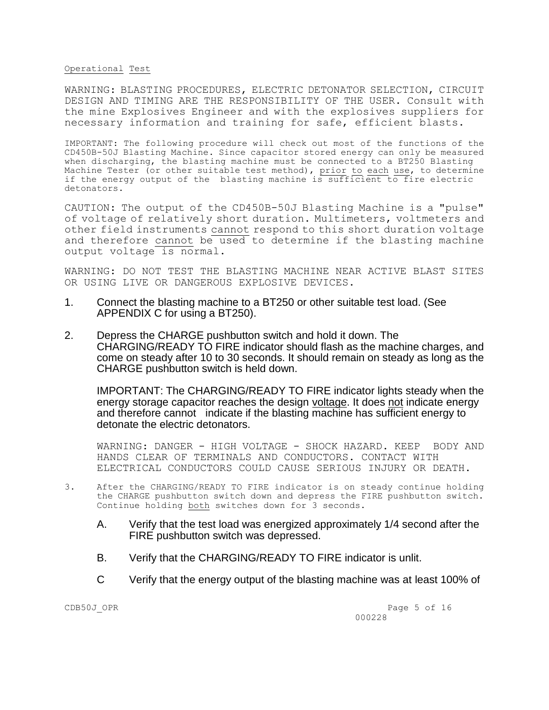#### Operational Test

WARNING: BLASTING PROCEDURES, ELECTRIC DETONATOR SELECTION, CIRCUIT DESIGN AND TIMING ARE THE RESPONSIBILITY OF THE USER. Consult with the mine Explosives Engineer and with the explosives suppliers for necessary information and training for safe, efficient blasts.

IMPORTANT: The following procedure will check out most of the functions of the CD450B-50J Blasting Machine. Since capacitor stored energy can only be measured when discharging, the blasting machine must be connected to a BT250 Blasting Machine Tester (or other suitable test method), prior to each use, to determine if the energy output of the blasting machine is sufficient to fire electric detonators.

CAUTION: The output of the CD450B-50J Blasting Machine is a "pulse" of voltage of relatively short duration. Multimeters, voltmeters and other field instruments cannot respond to this short duration voltage and therefore cannot be used to determine if the blasting machine output voltage is normal.

WARNING: DO NOT TEST THE BLASTING MACHINE NEAR ACTIVE BLAST SITES OR USING LIVE OR DANGEROUS EXPLOSIVE DEVICES.

- 1. Connect the blasting machine to a BT250 or other suitable test load. (See APPENDIX C for using a BT250).
- 2. Depress the CHARGE pushbutton switch and hold it down. The CHARGING/READY TO FIRE indicator should flash as the machine charges, and come on steady after 10 to 30 seconds. It should remain on steady as long as the CHARGE pushbutton switch is held down.

IMPORTANT: The CHARGING/READY TO FIRE indicator lights steady when the energy storage capacitor reaches the design voltage. It does not indicate energy and therefore cannot indicate if the blasting machine has sufficient energy to detonate the electric detonators.

WARNING: DANGER - HIGH VOLTAGE - SHOCK HAZARD. KEEP BODY AND HANDS CLEAR OF TERMINALS AND CONDUCTORS. CONTACT WITH ELECTRICAL CONDUCTORS COULD CAUSE SERIOUS INJURY OR DEATH.

- 3. After the CHARGING/READY TO FIRE indicator is on steady continue holding the CHARGE pushbutton switch down and depress the FIRE pushbutton switch. Continue holding both switches down for 3 seconds.
	- A. Verify that the test load was energized approximately 1/4 second after the FIRE pushbutton switch was depressed.
	- B. Verify that the CHARGING/READY TO FIRE indicator is unlit.
	- C Verify that the energy output of the blasting machine was at least 100% of

CDB50J\_OPR Page 5 of 16 000228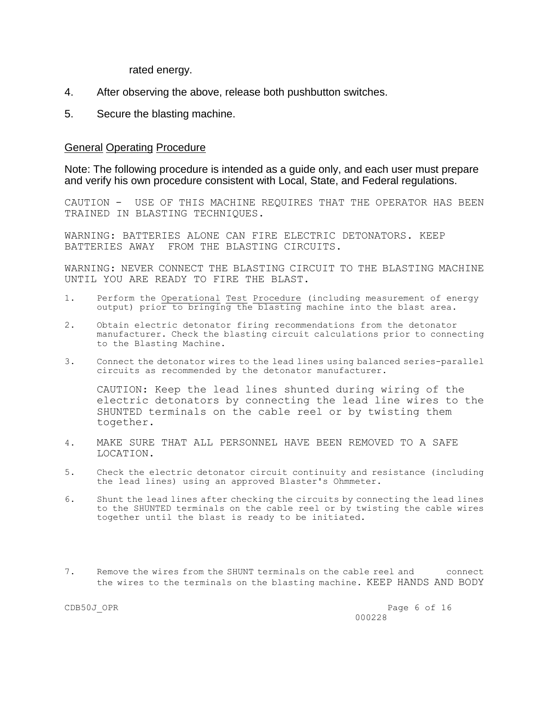rated energy.

- 4. After observing the above, release both pushbutton switches.
- 5. Secure the blasting machine.

## General Operating Procedure

Note: The following procedure is intended as a guide only, and each user must prepare and verify his own procedure consistent with Local, State, and Federal regulations.

CAUTION - USE OF THIS MACHINE REQUIRES THAT THE OPERATOR HAS BEEN TRAINED IN BLASTING TECHNIQUES.

WARNING: BATTERIES ALONE CAN FIRE ELECTRIC DETONATORS. KEEP BATTERIES AWAY FROM THE BLASTING CIRCUITS.

WARNING: NEVER CONNECT THE BLASTING CIRCUIT TO THE BLASTING MACHINE UNTIL YOU ARE READY TO FIRE THE BLAST.

- 1. Perform the Operational Test Procedure (including measurement of energy output) prior to bringing the blasting machine into the blast area.
- 2. Obtain electric detonator firing recommendations from the detonator manufacturer. Check the blasting circuit calculations prior to connecting to the Blasting Machine.
- 3. Connect the detonator wires to the lead lines using balanced series-parallel circuits as recommended by the detonator manufacturer.

CAUTION: Keep the lead lines shunted during wiring of the electric detonators by connecting the lead line wires to the SHUNTED terminals on the cable reel or by twisting them together.

- 4. MAKE SURE THAT ALL PERSONNEL HAVE BEEN REMOVED TO A SAFE LOCATION.
- 5. Check the electric detonator circuit continuity and resistance (including the lead lines) using an approved Blaster's Ohmmeter.
- 6. Shunt the lead lines after checking the circuits by connecting the lead lines to the SHUNTED terminals on the cable reel or by twisting the cable wires together until the blast is ready to be initiated.
- 7. Remove the wires from the SHUNT terminals on the cable reel and connect the wires to the terminals on the blasting machine. KEEP HANDS AND BODY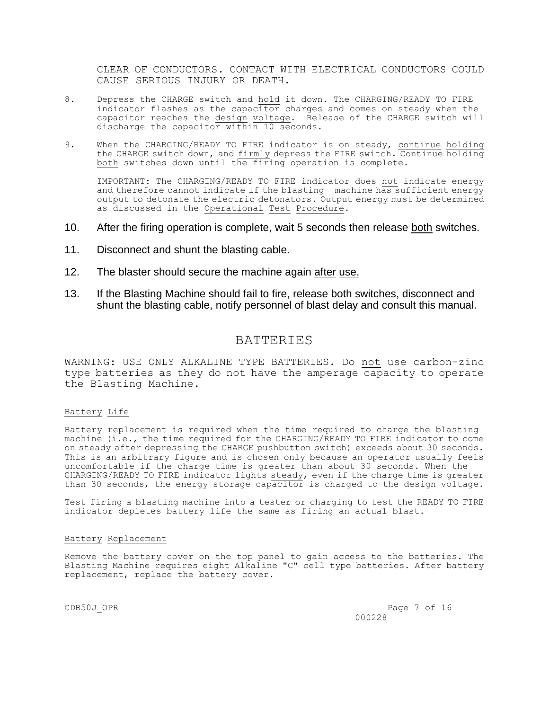CLEAR OF CONDUCTORS. CONTACT WITH ELECTRICAL CONDUCTORS COULD CAUSE SERIOUS INJURY OR DEATH.

- 8. Depress the CHARGE switch and hold it down. The CHARGING/READY TO FIRE indicator flashes as the capacitor charges and comes on steady when the capacitor reaches the design voltage. Release of the CHARGE switch will discharge the capacitor within 10 seconds.
- 9. When the CHARGING/READY TO FIRE indicator is on steady, continue holding the CHARGE switch down, and firmly depress the FIRE switch. Continue holding both switches down until the firing operation is complete.

IMPORTANT: The CHARGING/READY TO FIRE indicator does not indicate energy and therefore cannot indicate if the blasting machine has sufficient energy output to detonate the electric detonators. Output energy must be determined as discussed in the Operational Test Procedure.

- 10. After the firing operation is complete, wait 5 seconds then release both switches.
- 11. Disconnect and shunt the blasting cable.
- 12. The blaster should secure the machine again after use.
- 13. If the Blasting Machine should fail to fire, release both switches, disconnect and shunt the blasting cable, notify personnel of blast delay and consult this manual.

### BATTERIES

WARNING: USE ONLY ALKALINE TYPE BATTERIES. Do not use carbon-zinc type batteries as they do not have the amperage capacity to operate the Blasting Machine.

#### Battery Life

Battery replacement is required when the time required to charge the blasting machine (i.e., the time required for the CHARGING/READY TO FIRE indicator to come on steady after depressing the CHARGE pushbutton switch) exceeds about 30 seconds. This is an arbitrary figure and is chosen only because an operator usually feels uncomfortable if the charge time is greater than about 30 seconds. When the CHARGING/READY TO FIRE indicator lights steady, even if the charge time is greater than 30 seconds, the energy storage capacitor is charged to the design voltage.

Test firing a blasting machine into a tester or charging to test the READY TO FIRE indicator depletes battery life the same as firing an actual blast.

#### Battery Replacement

Remove the battery cover on the top panel to gain access to the batteries. The Blasting Machine requires eight Alkaline "C" cell type batteries. After battery replacement, replace the battery cover.

CDB50J\_OPR Page 7 of 16 000228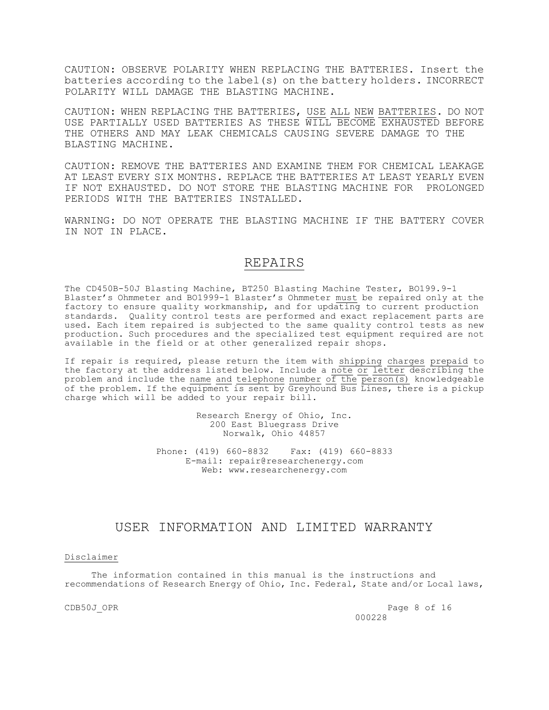CAUTION: OBSERVE POLARITY WHEN REPLACING THE BATTERIES. Insert the batteries according to the label(s) on the battery holders. INCORRECT POLARITY WILL DAMAGE THE BLASTING MACHINE.

CAUTION: WHEN REPLACING THE BATTERIES, USE ALL NEW BATTERIES. DO NOT USE PARTIALLY USED BATTERIES AS THESE WILL BECOME EXHAUSTED BEFORE THE OTHERS AND MAY LEAK CHEMICALS CAUSING SEVERE DAMAGE TO THE BLASTING MACHINE.

CAUTION: REMOVE THE BATTERIES AND EXAMINE THEM FOR CHEMICAL LEAKAGE AT LEAST EVERY SIX MONTHS. REPLACE THE BATTERIES AT LEAST YEARLY EVEN IF NOT EXHAUSTED. DO NOT STORE THE BLASTING MACHINE FOR PROLONGED PERIODS WITH THE BATTERIES INSTALLED.

WARNING: DO NOT OPERATE THE BLASTING MACHINE IF THE BATTERY COVER IN NOT IN PLACE.

# REPAIRS

The CD450B-50J Blasting Machine, BT250 Blasting Machine Tester, BO199.9-1 Blaster's Ohmmeter and BO1999-1 Blaster's Ohmmeter must be repaired only at the factory to ensure quality workmanship, and for updating to current production standards. Quality control tests are performed and exact replacement parts are used. Each item repaired is subjected to the same quality control tests as new production. Such procedures and the specialized test equipment required are not available in the field or at other generalized repair shops.

If repair is required, please return the item with shipping charges prepaid to the factory at the address listed below. Include a note or letter describing the problem and include the name and telephone number of the person(s) knowledgeable of the problem. If the equipment is sent by Greyhound Bus Lines, there is a pickup charge which will be added to your repair bill.

> Research Energy of Ohio, Inc. 200 East Bluegrass Drive Norwalk, Ohio 44857

Phone: (419) 660-8832 Fax: (419) 660-8833 E-mail: repair@researchenergy.com Web: www.researchenergy.com

### USER INFORMATION AND LIMITED WARRANTY

Disclaimer

 The information contained in this manual is the instructions and recommendations of Research Energy of Ohio, Inc. Federal, State and/or Local laws,

CDB50J\_OPR Page 8 of 16 000228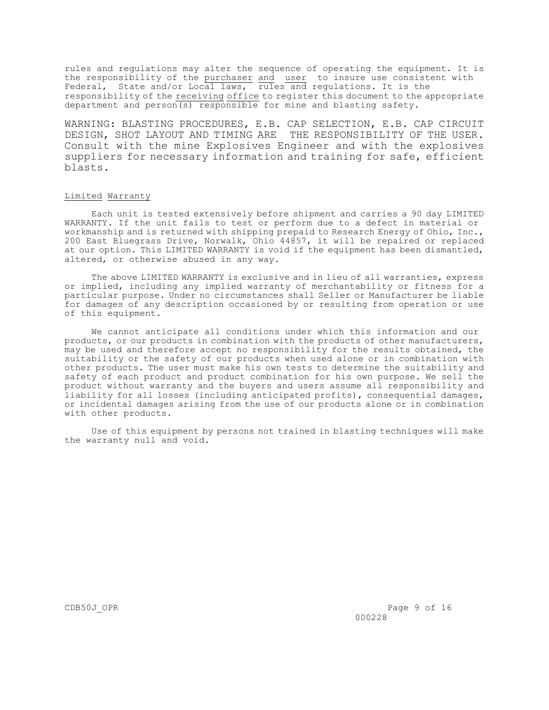rules and regulations may alter the sequence of operating the equipment. It is the responsibility of the purchaser and user to insure use consistent with Federal, State and/or Local laws, rules and regulations. It is the responsibility of the receiving office to register this document to the appropriate department and person(s) responsible for mine and blasting safety.

WARNING: BLASTING PROCEDURES, E.B. CAP SELECTION, E.B. CAP CIRCUIT DESIGN, SHOT LAYOUT AND TIMING ARE THE RESPONSIBILITY OF THE USER. Consult with the mine Explosives Engineer and with the explosives suppliers for necessary information and training for safe, efficient blasts.

#### Limited Warranty

 Each unit is tested extensively before shipment and carries a 90 day LIMITED WARRANTY. If the unit fails to test or perform due to a defect in material or workmanship and is returned with shipping prepaid to Research Energy of Ohio, Inc., 200 East Bluegrass Drive, Norwalk, Ohio 44857, it will be repaired or replaced at our option. This LIMITED WARRANTY is void if the equipment has been dismantled, altered, or otherwise abused in any way.

 The above LIMITED WARRANTY is exclusive and in lieu of all warranties, express or implied, including any implied warranty of merchantability or fitness for a particular purpose. Under no circumstances shall Seller or Manufacturer be liable for damages of any description occasioned by or resulting from operation or use of this equipment.

 We cannot anticipate all conditions under which this information and our products, or our products in combination with the products of other manufacturers, may be used and therefore accept no responsibility for the results obtained, the suitability or the safety of our products when used alone or in combination with other products. The user must make his own tests to determine the suitability and safety of each product and product combination for his own purpose. We sell the product without warranty and the buyers and users assume all responsibility and liability for all losses (including anticipated profits), consequential damages, or incidental damages arising from the use of our products alone or in combination with other products.

 Use of this equipment by persons not trained in blasting techniques will make the warranty null and void.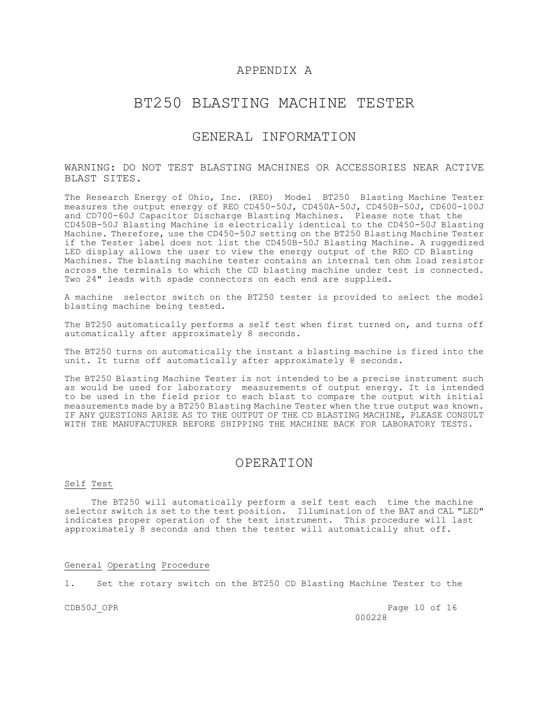### APPENDIX A

# BT250 BLASTING MACHINE TESTER

### GENERAL INFORMATION

#### WARNING: DO NOT TEST BLASTING MACHINES OR ACCESSORIES NEAR ACTIVE BLAST SITES.

The Research Energy of Ohio, Inc. (REO) Model BT250 Blasting Machine Tester measures the output energy of REO CD450-50J, CD450A-50J, CD450B-50J, CD600-100J and CD700-60J Capacitor Discharge Blasting Machines. Please note that the CD450B-50J Blasting Machine is electrically identical to the CD450-50J Blasting Machine. Therefore, use the CD450-50J setting on the BT250 Blasting Machine Tester if the Tester label does not list the CD450B-50J Blasting Machine. A ruggedized LED display allows the user to view the energy output of the REO CD Blasting Machines. The blasting machine tester contains an internal ten ohm load resistor across the terminals to which the CD blasting machine under test is connected. Two 24" leads with spade connectors on each end are supplied.

A machine selector switch on the BT250 tester is provided to select the model blasting machine being tested.

The BT250 automatically performs a self test when first turned on, and turns off automatically after approximately 8 seconds.

The BT250 turns on automatically the instant a blasting machine is fired into the unit. It turns off automatically after approximately 8 seconds.

The BT250 Blasting Machine Tester is not intended to be a precise instrument such as would be used for laboratory measurements of output energy. It is intended to be used in the field prior to each blast to compare the output with initial measurements made by a BT250 Blasting Machine Tester when the true output was known. IF ANY QUESTIONS ARISE AS TO THE OUTPUT OF THE CD BLASTING MACHINE, PLEASE CONSULT WITH THE MANUFACTURER BEFORE SHIPPING THE MACHINE BACK FOR LABORATORY TESTS.

### OPERATION

#### Self Test

 The BT250 will automatically perform a self test each time the machine selector switch is set to the test position. Illumination of the BAT and CAL "LED" indicates proper operation of the test instrument. This procedure will last approximately 8 seconds and then the tester will automatically shut off.

#### General Operating Procedure

1. Set the rotary switch on the BT250 CD Blasting Machine Tester to the

CDB50J\_OPR Page 10 of 16 000228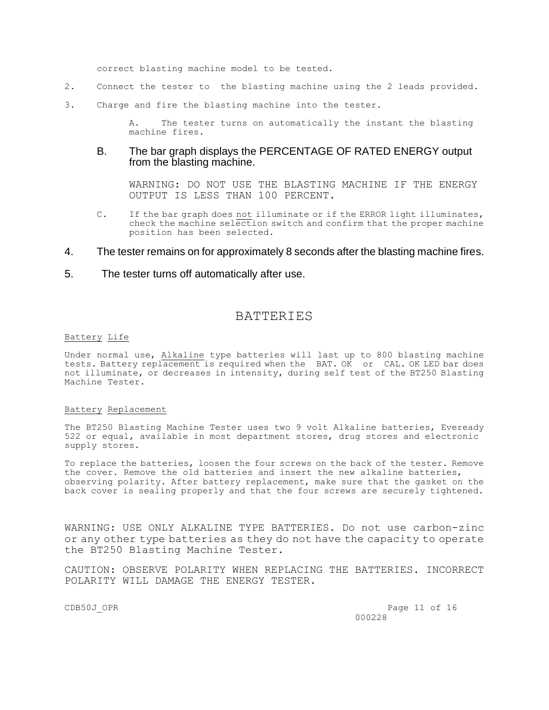correct blasting machine model to be tested.

- 2. Connect the tester to the blasting machine using the 2 leads provided.
- 3. Charge and fire the blasting machine into the tester.

The tester turns on automatically the instant the blasting machine fires.

### B. The bar graph displays the PERCENTAGE OF RATED ENERGY output from the blasting machine.

WARNING: DO NOT USE THE BLASTING MACHINE IF THE ENERGY OUTPUT IS LESS THAN 100 PERCENT.

- C. If the bar graph does not illuminate or if the ERROR light illuminates, check the machine selection switch and confirm that the proper machine position has been selected.
- 4. The tester remains on for approximately 8 seconds after the blasting machine fires.
- 5. The tester turns off automatically after use.

### BATTERIES

#### Battery Life

Under normal use, Alkaline type batteries will last up to 800 blasting machine tests. Battery replacement is required when the BAT. OK or CAL. OK LED bar does not illuminate, or decreases in intensity, during self test of the BT250 Blasting Machine Tester.

#### Battery Replacement

The BT250 Blasting Machine Tester uses two 9 volt Alkaline batteries, Eveready 522 or equal, available in most department stores, drug stores and electronic supply stores.

To replace the batteries, loosen the four screws on the back of the tester. Remove the cover. Remove the old batteries and insert the new alkaline batteries, observing polarity. After battery replacement, make sure that the gasket on the back cover is sealing properly and that the four screws are securely tightened.

WARNING: USE ONLY ALKALINE TYPE BATTERIES. Do not use carbon-zinc or any other type batteries as they do not have the capacity to operate the BT250 Blasting Machine Tester.

CAUTION: OBSERVE POLARITY WHEN REPLACING THE BATTERIES. INCORRECT POLARITY WILL DAMAGE THE ENERGY TESTER.

CDB50J\_OPR Page 11 of 16 000228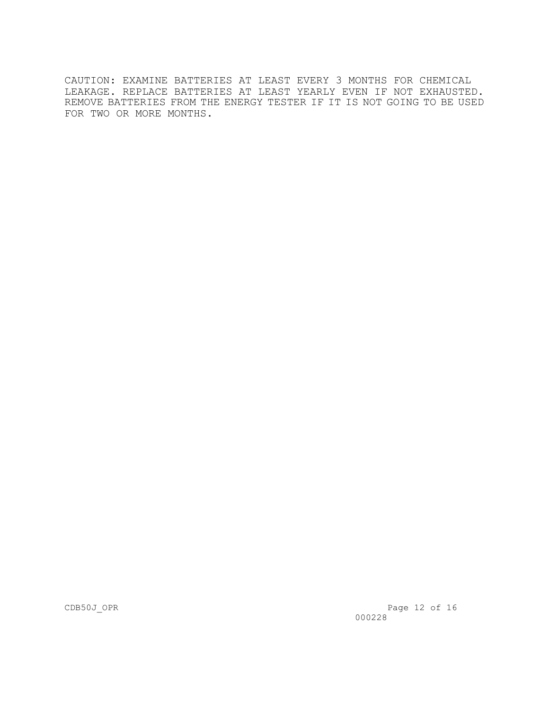CAUTION: EXAMINE BATTERIES AT LEAST EVERY 3 MONTHS FOR CHEMICAL LEAKAGE. REPLACE BATTERIES AT LEAST YEARLY EVEN IF NOT EXHAUSTED. REMOVE BATTERIES FROM THE ENERGY TESTER IF IT IS NOT GOING TO BE USED FOR TWO OR MORE MONTHS.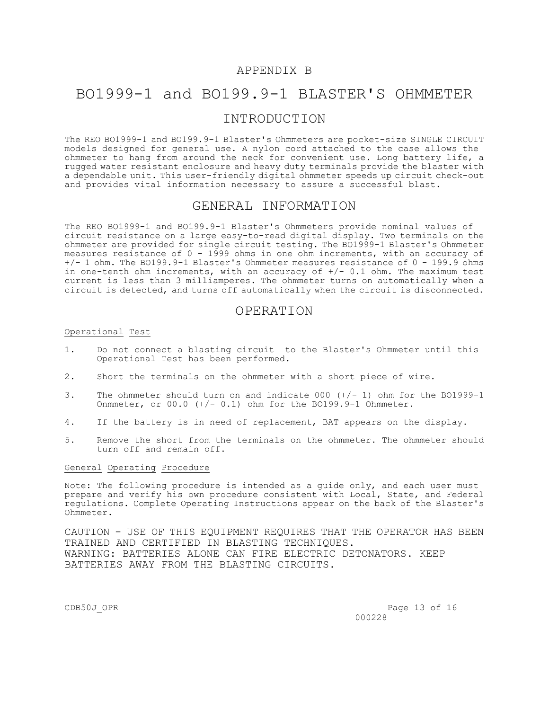### APPENDIX B

# BO1999-1 and BO199.9-1 BLASTER'S OHMMETER

### INTRODUCTION

The REO BO1999-1 and BO199.9-1 Blaster's Ohmmeters are pocket-size SINGLE CIRCUIT models designed for general use. A nylon cord attached to the case allows the ohmmeter to hang from around the neck for convenient use. Long battery life, a rugged water resistant enclosure and heavy duty terminals provide the blaster with a dependable unit. This user-friendly digital ohmmeter speeds up circuit check-out and provides vital information necessary to assure a successful blast.

### GENERAL INFORMATION

The REO BO1999-1 and BO199.9-1 Blaster's Ohmmeters provide nominal values of circuit resistance on a large easy-to-read digital display. Two terminals on the ohmmeter are provided for single circuit testing. The BO1999-1 Blaster's Ohmmeter measures resistance of 0 - 1999 ohms in one ohm increments, with an accuracy of +/- 1 ohm. The BO199.9-1 Blaster's Ohmmeter measures resistance of 0 - 199.9 ohms in one-tenth ohm increments, with an accuracy of  $+/- 0.1$  ohm. The maximum test current is less than 3 milliamperes. The ohmmeter turns on automatically when a circuit is detected, and turns off automatically when the circuit is disconnected.

### OPERATION

#### Operational Test

- 1. Do not connect a blasting circuit to the Blaster's Ohmmeter until this Operational Test has been performed.
- 2. Short the terminals on the ohmmeter with a short piece of wire.
- 3. The ohmmeter should turn on and indicate 000 (+/- 1) ohm for the BO1999-1 Onmmeter, or 00.0 (+/- 0.1) ohm for the BO199.9-1 Ohmmeter.
- 4. If the battery is in need of replacement, BAT appears on the display.
- 5. Remove the short from the terminals on the ohmmeter. The ohmmeter should turn off and remain off.

#### General Operating Procedure

Note: The following procedure is intended as a guide only, and each user must prepare and verify his own procedure consistent with Local, State, and Federal regulations. Complete Operating Instructions appear on the back of the Blaster's Ohmmeter.

CAUTION - USE OF THIS EQUIPMENT REQUIRES THAT THE OPERATOR HAS BEEN TRAINED AND CERTIFIED IN BLASTING TECHNIQUES. WARNING: BATTERIES ALONE CAN FIRE ELECTRIC DETONATORS. KEEP BATTERIES AWAY FROM THE BLASTING CIRCUITS.

CDB50J\_OPR Page 13 of 16 000228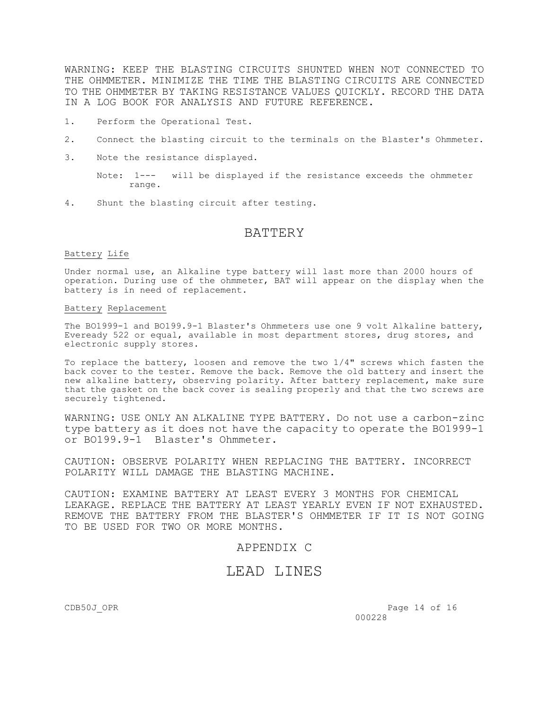WARNING: KEEP THE BLASTING CIRCUITS SHUNTED WHEN NOT CONNECTED TO THE OHMMETER. MINIMIZE THE TIME THE BLASTING CIRCUITS ARE CONNECTED TO THE OHMMETER BY TAKING RESISTANCE VALUES QUICKLY. RECORD THE DATA IN A LOG BOOK FOR ANALYSIS AND FUTURE REFERENCE.

- 1. Perform the Operational Test.
- 2. Connect the blasting circuit to the terminals on the Blaster's Ohmmeter.
- 3. Note the resistance displayed.
	- Note: 1--- will be displayed if the resistance exceeds the ohmmeter range.
- 4. Shunt the blasting circuit after testing.

### BATTERY

#### Battery Life

Under normal use, an Alkaline type battery will last more than 2000 hours of operation. During use of the ohmmeter, BAT will appear on the display when the battery is in need of replacement.

#### Battery Replacement

The BO1999-1 and BO199.9-1 Blaster's Ohmmeters use one 9 volt Alkaline battery, Eveready 522 or equal, available in most department stores, drug stores, and electronic supply stores.

To replace the battery, loosen and remove the two  $1/4$ " screws which fasten the back cover to the tester. Remove the back. Remove the old battery and insert the new alkaline battery, observing polarity. After battery replacement, make sure that the gasket on the back cover is sealing properly and that the two screws are securely tightened.

WARNING: USE ONLY AN ALKALINE TYPE BATTERY. Do not use a carbon-zinc type battery as it does not have the capacity to operate the BO1999-1 or BO199.9-1 Blaster's Ohmmeter.

CAUTION: OBSERVE POLARITY WHEN REPLACING THE BATTERY. INCORRECT POLARITY WILL DAMAGE THE BLASTING MACHINE.

CAUTION: EXAMINE BATTERY AT LEAST EVERY 3 MONTHS FOR CHEMICAL LEAKAGE. REPLACE THE BATTERY AT LEAST YEARLY EVEN IF NOT EXHAUSTED. REMOVE THE BATTERY FROM THE BLASTER'S OHMMETER IF IT IS NOT GOING TO BE USED FOR TWO OR MORE MONTHS.

### APPENDIX C

# LEAD LINES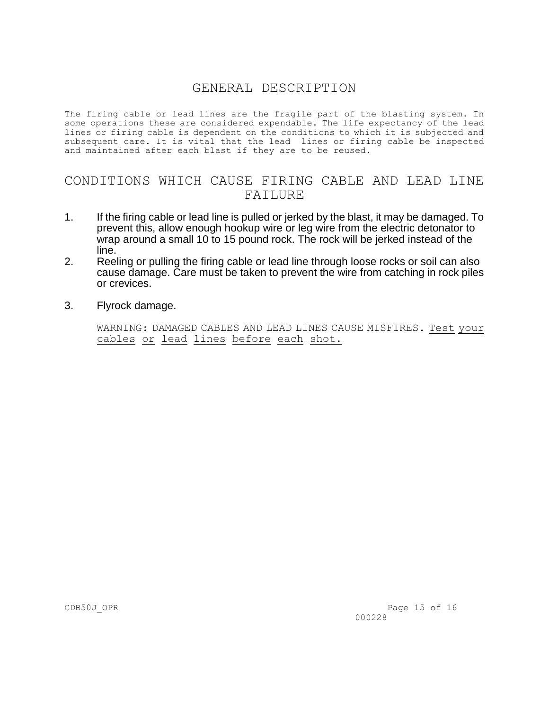# GENERAL DESCRIPTION

The firing cable or lead lines are the fragile part of the blasting system. In some operations these are considered expendable. The life expectancy of the lead lines or firing cable is dependent on the conditions to which it is subjected and subsequent care. It is vital that the lead lines or firing cable be inspected and maintained after each blast if they are to be reused.

# CONDITIONS WHICH CAUSE FIRING CABLE AND LEAD LINE FAILURE

- 1. If the firing cable or lead line is pulled or jerked by the blast, it may be damaged. To prevent this, allow enough hookup wire or leg wire from the electric detonator to wrap around a small 10 to 15 pound rock. The rock will be jerked instead of the line.
- 2. Reeling or pulling the firing cable or lead line through loose rocks or soil can also cause damage. Care must be taken to prevent the wire from catching in rock piles or crevices.
- 3. Flyrock damage.

 WARNING: DAMAGED CABLES AND LEAD LINES CAUSE MISFIRES. Test your cables or lead lines before each shot.